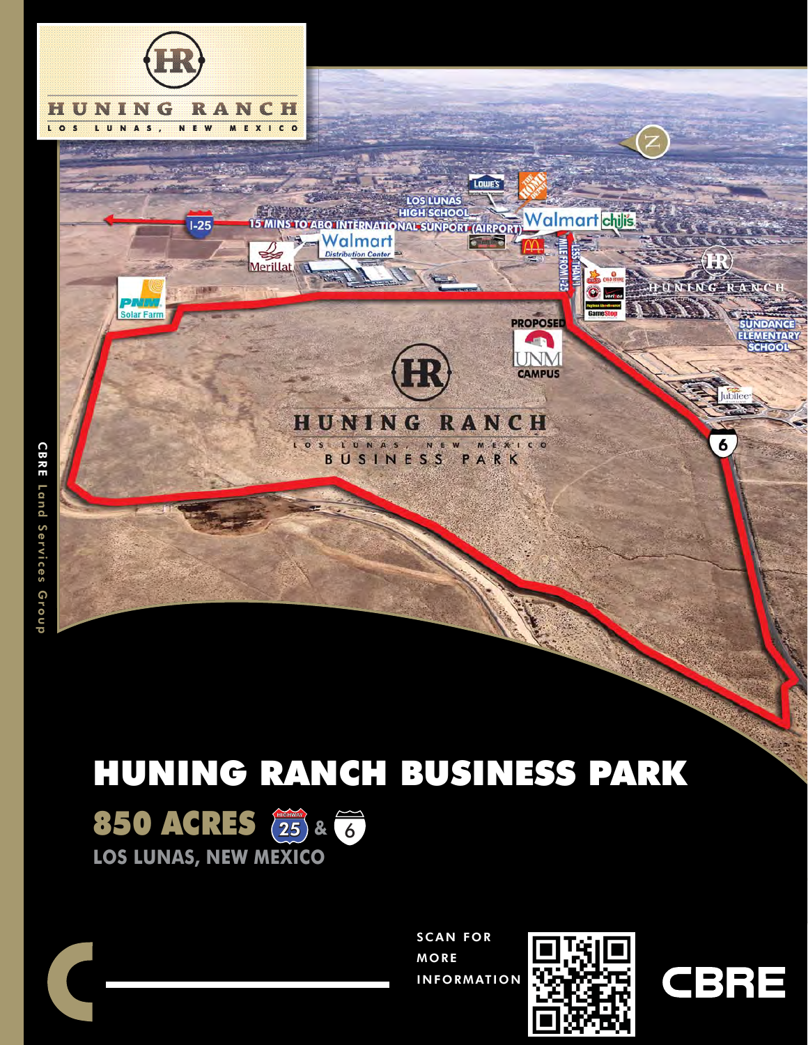

# HUNING RANCH BUSINESS PARK







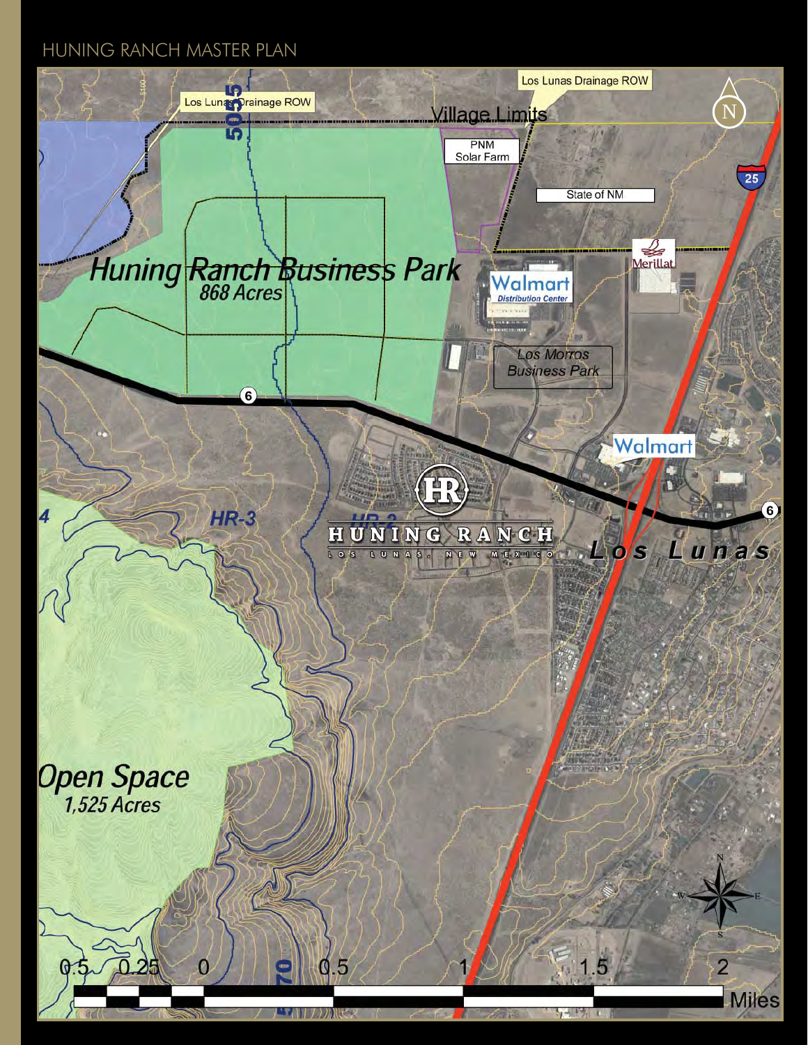### HUNING RANCH MASTER PLAN

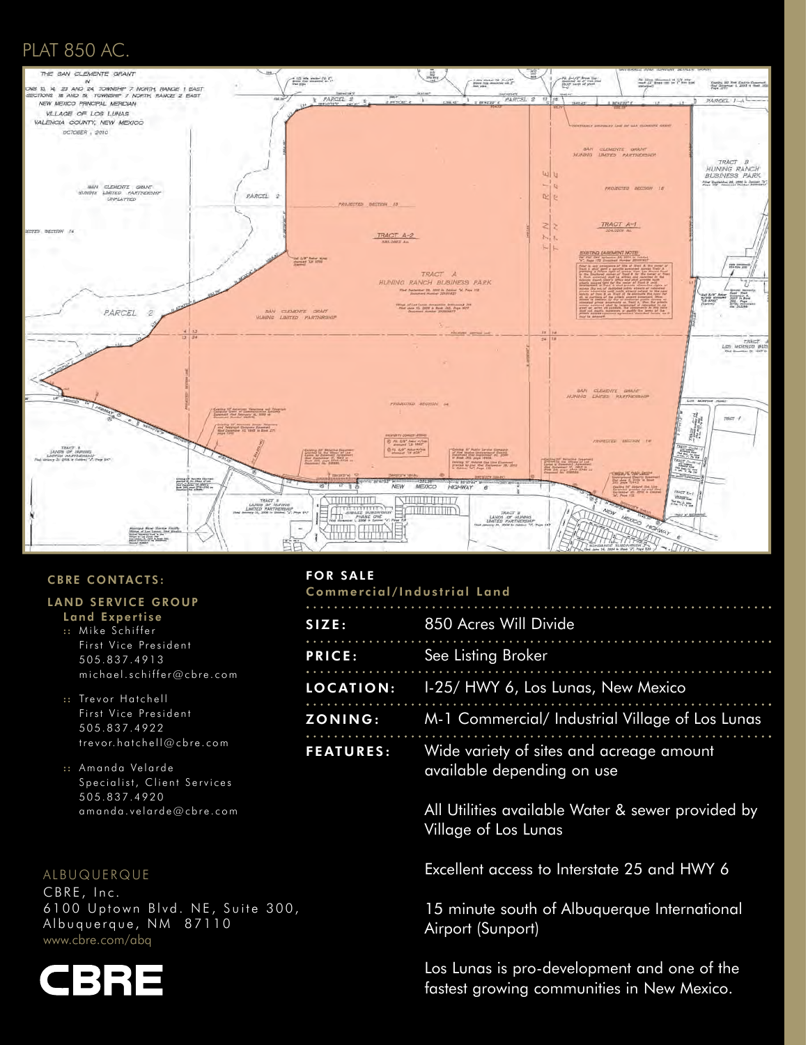## PLAT 850 AC.



#### CBRE CONTACTS:

#### LAND SERVICE GROUP

- Land Expertise
- :: Mike Schiffer First Vice President 505.837.4913 michael.schiffer@cbre.com
- :: Trevor Hatchell First Vice President 505.837.4922 trevor.hatchell@cbre.com
- :: Amanda Velarde Specialist, Client Services 505.837.4920 amanda.velarde@cbre.com

#### ALBUQUERQUE

CBRE, Inc. 6100 Uptown Blvd. NE, Suite 300, Albuquerque, NM 87110 www.cbre.com/abq



#### FOR SALE Commercial/Industrial Land

| SIZE:            | 850 Acres Will Divide                                                                                                                                                                                                                                                                                                                                 |  |  |
|------------------|-------------------------------------------------------------------------------------------------------------------------------------------------------------------------------------------------------------------------------------------------------------------------------------------------------------------------------------------------------|--|--|
| PRICE:           | See Listing Broker                                                                                                                                                                                                                                                                                                                                    |  |  |
|                  | <b>LOCATION:</b> 1-25/ HWY 6, Los Lunas, New Mexico                                                                                                                                                                                                                                                                                                   |  |  |
| <b>ZONING:</b>   | M-1 Commercial/ Industrial Village of Los Lunas                                                                                                                                                                                                                                                                                                       |  |  |
| <b>FEATURES:</b> | Wide variety of sites and acreage amount<br>available depending on use                                                                                                                                                                                                                                                                                |  |  |
|                  | All Utilities available Water & sewer provided by<br>$\mathbf{v}$ and $\mathbf{v}$ and $\mathbf{v}$ and $\mathbf{v}$ and $\mathbf{v}$ and $\mathbf{v}$ and $\mathbf{v}$ and $\mathbf{v}$ and $\mathbf{v}$ and $\mathbf{v}$ and $\mathbf{v}$ and $\mathbf{v}$ and $\mathbf{v}$ and $\mathbf{v}$ and $\mathbf{v}$ and $\mathbf{v}$ and $\mathbf{v}$ and |  |  |

Village of Los Lunas

Excellent access to Interstate 25 and HWY 6

 15 minute south of Albuquerque International Airport (Sunport)

 Los Lunas is pro-development and one of the fastest growing communities in New Mexico.